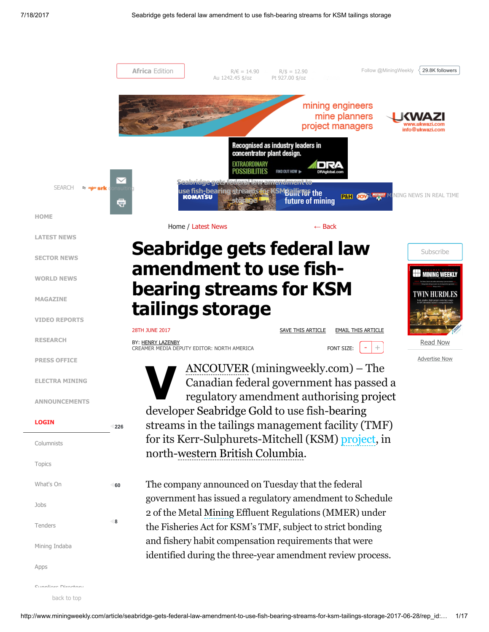

Mining [Indaba](http://www.miningweekly.com/page/mining-indaba)

[Apps](http://www.miningweekly.com/page/apps)

[Suppliers](http://www.engineeringnews.co.za/page/suppliers-directory) Directory

back to top

identified during the three-year amendment review process.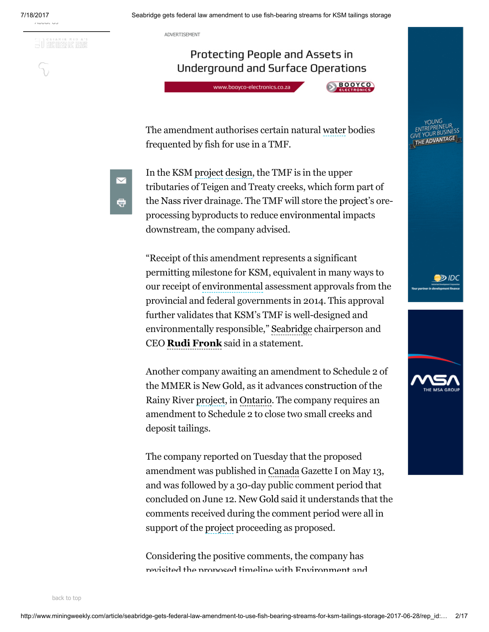[About](http://www.miningweekly.com/article/about-us-2016-11-07-1) Us

ET DISTRIBUTE AT

7/18/2017 Seabridge gets federal law amendment to use fish-bearing streams for KSM tailings storage

ADVERTISEMENT

## Protecting People and Assets in Underground and Surface Operations

www.booyco-electronics.co.za



The amendment authorises certain natural [water](http://www.miningweekly.com/topic/water) bodies frequented by fish for use in a TMF.

 $\blacktriangledown$ ē

In the KSM [project](http://www.miningweekly.com/topic/project) [design,](http://www.miningweekly.com/topic/design) the TMF is in the upper tributaries of Teigen and Treaty creeks, which form part of the [Nass](http://www.miningweekly.com/topic/nass-river) river drainage. The TMF will store the [project](http://www.miningweekly.com/topic/project)'s oreprocessing byproducts to reduce [environmental](http://www.miningweekly.com/topic/environmental) impacts downstream, the company advised.

"Receipt of this amendment represents a significant permitting milestone for KSM, equivalent in many ways to our receipt of [environmental](http://www.miningweekly.com/topic/environmental) assessment approvals from the provincial and federal governments in 2014. This approval further validates that KSM's TMF is well-designed and environmentally responsible," [Seabridge](http://www.miningweekly.com/topic/seabridge) chairperson and CEO Rudi [Fronk](http://www.miningweekly.com/topic/rudi-fronk) said in a statement.

Another company awaiting an amendment to Schedule 2 of the MMER is New [Gold,](http://www.miningweekly.com/topic/new-gold) as it advances [construction](http://www.miningweekly.com/topic/construction) of the Rainy River [project,](http://www.miningweekly.com/topic/project) in [Ontario](http://www.miningweekly.com/topic/ontario). The company requires an amendment to Schedule 2 to close two small creeks and deposit tailings.

The company reported on Tuesday that the proposed amendment was published in [Canada](http://www.miningweekly.com/topic/canada) Gazette I on May 13, and was followed by a 30-day public comment period that concluded on June 12. New [Gold](http://www.miningweekly.com/topic/new-gold) said it understands that the comments received during the comment period were all in support of the [project](http://www.miningweekly.com/topic/project) proceeding as proposed.

Considering the positive comments, the company has revisited the proposed timeline with [Environment](http://www.miningweekly.com/topic/environment) and





[back](javascript:void(0);) to top